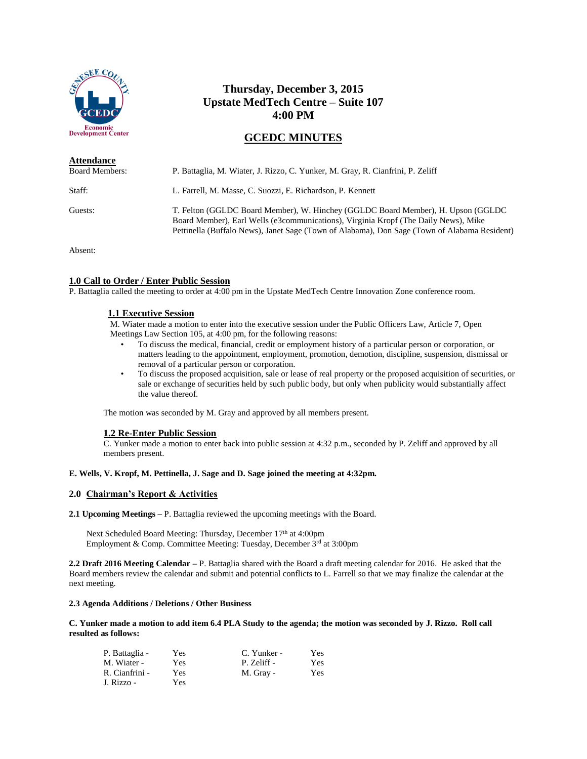

# **Thursday, December 3, 2015 Upstate MedTech Centre – Suite 107 4:00 PM**

# **GCEDC MINUTES**

| <b>Attendance</b>     |                                                                                                                                                                                                                                                                          |
|-----------------------|--------------------------------------------------------------------------------------------------------------------------------------------------------------------------------------------------------------------------------------------------------------------------|
| <b>Board Members:</b> | P. Battaglia, M. Wiater, J. Rizzo, C. Yunker, M. Gray, R. Cianfrini, P. Zeliff                                                                                                                                                                                           |
| Staff:                | L. Farrell, M. Masse, C. Suozzi, E. Richardson, P. Kennett                                                                                                                                                                                                               |
| Guests:               | T. Felton (GGLDC Board Member), W. Hinchey (GGLDC Board Member), H. Upson (GGLDC)<br>Board Member), Earl Wells (e3communications), Virginia Kropf (The Daily News), Mike<br>Pettinella (Buffalo News), Janet Sage (Town of Alabama), Don Sage (Town of Alabama Resident) |

Absent:

## **1.0 Call to Order / Enter Public Session**

P. Battaglia called the meeting to order at 4:00 pm in the Upstate MedTech Centre Innovation Zone conference room.

## **1.1 Executive Session**

M. Wiater made a motion to enter into the executive session under the Public Officers Law, Article 7, Open Meetings Law Section 105, at 4:00 pm, for the following reasons:

- To discuss the medical, financial, credit or employment history of a particular person or corporation, or matters leading to the appointment, employment, promotion, demotion, discipline, suspension, dismissal or removal of a particular person or corporation.
- To discuss the proposed acquisition, sale or lease of real property or the proposed acquisition of securities, or sale or exchange of securities held by such public body, but only when publicity would substantially affect the value thereof.

The motion was seconded by M. Gray and approved by all members present.

## **1.2 Re-Enter Public Session**

C. Yunker made a motion to enter back into public session at 4:32 p.m., seconded by P. Zeliff and approved by all members present.

## **E. Wells, V. Kropf, M. Pettinella, J. Sage and D. Sage joined the meeting at 4:32pm.**

## **2.0 Chairman's Report & Activities**

**2.1 Upcoming Meetings –** P. Battaglia reviewed the upcoming meetings with the Board.

Next Scheduled Board Meeting: Thursday, December 17<sup>th</sup> at 4:00pm Employment & Comp. Committee Meeting: Tuesday, December 3rd at 3:00pm

**2.2 Draft 2016 Meeting Calendar –** P. Battaglia shared with the Board a draft meeting calendar for 2016. He asked that the Board members review the calendar and submit and potential conflicts to L. Farrell so that we may finalize the calendar at the next meeting.

## **2.3 Agenda Additions / Deletions / Other Business**

## **C. Yunker made a motion to add item 6.4 PLA Study to the agenda; the motion was seconded by J. Rizzo. Roll call resulted as follows:**

| P. Battaglia - | Yes | C. Yunker - | <b>Yes</b> |
|----------------|-----|-------------|------------|
| M. Wiater -    | Yes | P. Zeliff - | Yes        |
| R. Cianfrini - | Yes | M. Gray -   | Yes        |
| J. Rizzo -     | Yes |             |            |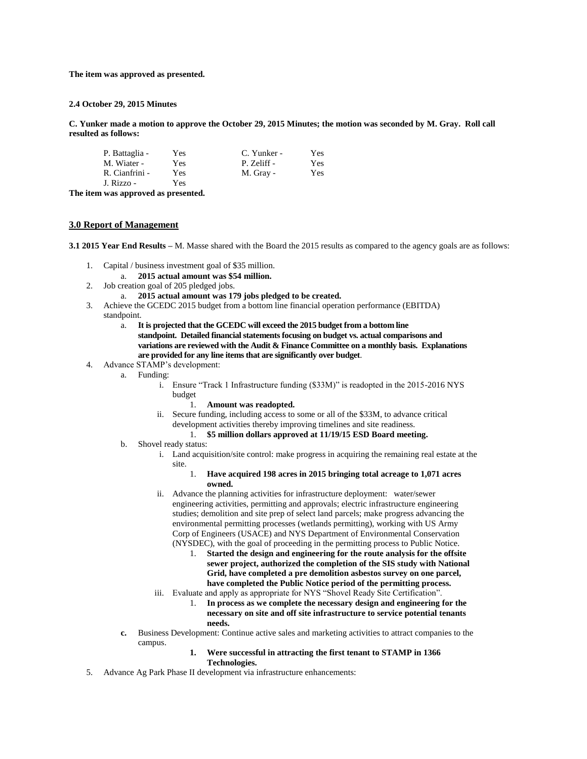**The item was approved as presented.**

#### **2.4 October 29, 2015 Minutes**

**C. Yunker made a motion to approve the October 29, 2015 Minutes; the motion was seconded by M. Gray. Roll call resulted as follows:**

| P. Battaglia - | Yes  | C. Yunker - | Yes |
|----------------|------|-------------|-----|
| M. Wiater -    | Yes. | P. Zeliff - | Yes |
| R. Cianfrini - | Yes  | M. Gray -   | Yes |
| J. Rizzo -     | Yes  |             |     |

**The item was approved as presented.**

#### **3.0 Report of Management**

**3.1 2015 Year End Results –** M. Masse shared with the Board the 2015 results as compared to the agency goals are as follows:

- 1. Capital / business investment goal of \$35 million.
	- a. **2015 actual amount was \$54 million.**
- 2. Job creation goal of 205 pledged jobs.
	- a. **2015 actual amount was 179 jobs pledged to be created.**
- 3. Achieve the GCEDC 2015 budget from a bottom line financial operation performance (EBITDA) standpoint.
	- a. **It is projected that the GCEDC will exceed the 2015 budget from a bottom line standpoint. Detailed financial statements focusing on budget vs. actual comparisons and variations are reviewed with the Audit & Finance Committee on a monthly basis. Explanations are provided for any line items that are significantly over budget**.
- 4. Advance STAMP's development:
	- a. Funding:
		- i. Ensure "Track 1 Infrastructure funding (\$33M)" is readopted in the 2015-2016 NYS budget
			- 1. **Amount was readopted.**
		- ii. Secure funding, including access to some or all of the \$33M, to advance critical development activities thereby improving timelines and site readiness.
			- 1. **\$5 million dollars approved at 11/19/15 ESD Board meeting.**
	- b. Shovel ready status:
		- i. Land acquisition/site control: make progress in acquiring the remaining real estate at the site.
			- 1. **Have acquired 198 acres in 2015 bringing total acreage to 1,071 acres owned.**
		- ii. Advance the planning activities for infrastructure deployment: water/sewer engineering activities, permitting and approvals; electric infrastructure engineering studies; demolition and site prep of select land parcels; make progress advancing the environmental permitting processes (wetlands permitting), working with US Army Corp of Engineers (USACE) and NYS Department of Environmental Conservation (NYSDEC), with the goal of proceeding in the permitting process to Public Notice.
			- 1. **Started the design and engineering for the route analysis for the offsite sewer project, authorized the completion of the SIS study with National Grid, have completed a pre demolition asbestos survey on one parcel, have completed the Public Notice period of the permitting process.**
		- iii. Evaluate and apply as appropriate for NYS "Shovel Ready Site Certification".
			- 1. **In process as we complete the necessary design and engineering for the necessary on site and off site infrastructure to service potential tenants needs.**
	- **c.** Business Development: Continue active sales and marketing activities to attract companies to the campus.
		- **1. Were successful in attracting the first tenant to STAMP in 1366 Technologies.**
- 5. Advance Ag Park Phase II development via infrastructure enhancements: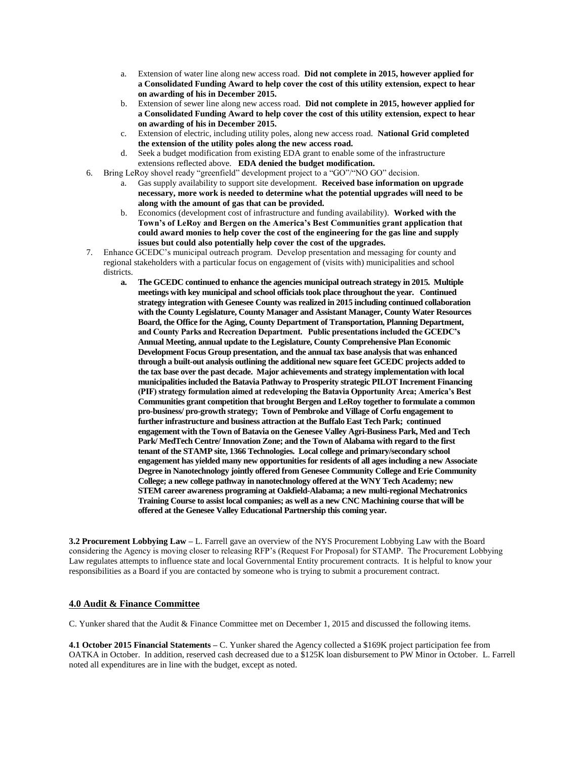- a. Extension of water line along new access road. **Did not complete in 2015, however applied for a Consolidated Funding Award to help cover the cost of this utility extension, expect to hear on awarding of his in December 2015.**
- b. Extension of sewer line along new access road. **Did not complete in 2015, however applied for a Consolidated Funding Award to help cover the cost of this utility extension, expect to hear on awarding of his in December 2015.**
- c. Extension of electric, including utility poles, along new access road. **National Grid completed the extension of the utility poles along the new access road.**
- d. Seek a budget modification from existing EDA grant to enable some of the infrastructure extensions reflected above. **EDA denied the budget modification.**
- 6. Bring LeRoy shovel ready "greenfield" development project to a "GO"/"NO GO" decision.
	- a. Gas supply availability to support site development. **Received base information on upgrade necessary, more work is needed to determine what the potential upgrades will need to be along with the amount of gas that can be provided.**
	- b. Economics (development cost of infrastructure and funding availability). **Worked with the Town's of LeRoy and Bergen on the America's Best Communities grant application that could award monies to help cover the cost of the engineering for the gas line and supply issues but could also potentially help cover the cost of the upgrades.**
- 7. Enhance GCEDC's municipal outreach program. Develop presentation and messaging for county and regional stakeholders with a particular focus on engagement of (visits with) municipalities and school districts.
	- **a. The GCEDC continued to enhance the agencies municipal outreach strategy in 2015. Multiple meetings with key municipal and school officials took place throughout the year. Continued strategy integration with Genesee County was realized in 2015 including continued collaboration with the County Legislature, County Manager and Assistant Manager, County Water Resources Board, the Office for the Aging, County Department of Transportation, Planning Department, and County Parks and Recreation Department. Public presentations included the GCEDC's Annual Meeting, annual update to the Legislature, County Comprehensive Plan Economic Development Focus Group presentation, and the annual tax base analysis that was enhanced through a built-out analysis outlining the additional new square feet GCEDC projects added to the tax base over the past decade. Major achievements and strategy implementation with local municipalities included the Batavia Pathway to Prosperity strategic PILOT Increment Financing (PIF) strategy formulation aimed at redeveloping the Batavia Opportunity Area; America's Best Communities grant competition that brought Bergen and LeRoy together to formulate a common pro-business/ pro-growth strategy; Town of Pembroke and Village of Corfu engagement to further infrastructure and business attraction at the Buffalo East Tech Park; continued engagement with the Town of Batavia on the Genesee Valley Agri-Business Park, Med and Tech Park/ MedTech Centre/ Innovation Zone; and the Town of Alabama with regard to the first tenant of the STAMP site, 1366 Technologies. Local college and primary/secondary school engagement has yielded many new opportunities for residents of all ages including a new Associate Degree in Nanotechnology jointly offered from Genesee Community College and Erie Community College; a new college pathway in nanotechnology offered at the WNY Tech Academy; new STEM career awareness programing at Oakfield-Alabama; a new multi-regional Mechatronics Training Course to assist local companies; as well as a new CNC Machining course that will be offered at the Genesee Valley Educational Partnership this coming year.**

**3.2 Procurement Lobbying Law –** L. Farrell gave an overview of the NYS Procurement Lobbying Law with the Board considering the Agency is moving closer to releasing RFP's (Request For Proposal) for STAMP. The Procurement Lobbying Law regulates attempts to influence state and local Governmental Entity procurement contracts. It is helpful to know your responsibilities as a Board if you are contacted by someone who is trying to submit a procurement contract.

## **4.0 Audit & Finance Committee**

C. Yunker shared that the Audit & Finance Committee met on December 1, 2015 and discussed the following items.

**4.1 October 2015 Financial Statements –** C. Yunker shared the Agency collected a \$169K project participation fee from OATKA in October. In addition, reserved cash decreased due to a \$125K loan disbursement to PW Minor in October. L. Farrell noted all expenditures are in line with the budget, except as noted.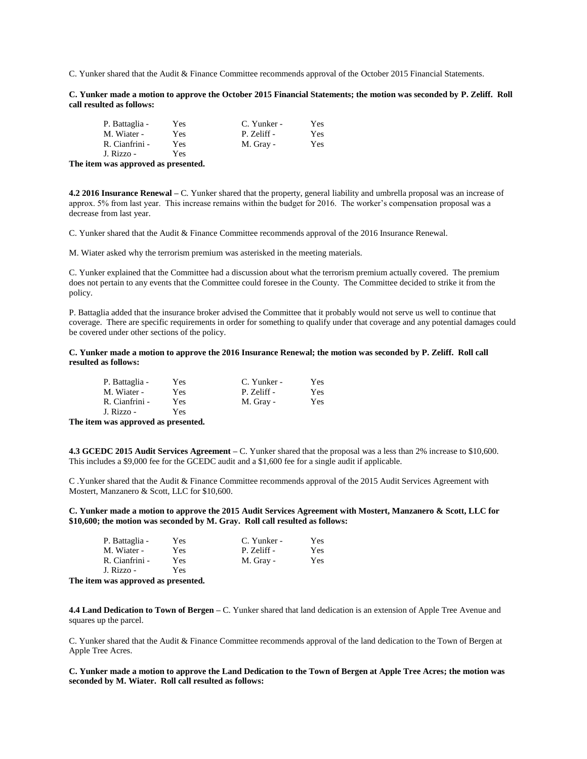C. Yunker shared that the Audit & Finance Committee recommends approval of the October 2015 Financial Statements.

**C. Yunker made a motion to approve the October 2015 Financial Statements; the motion was seconded by P. Zeliff. Roll call resulted as follows:**

| P. Battaglia - | Yes | C. Yunker - | Yes |
|----------------|-----|-------------|-----|
| M. Wiater -    | Yes | P. Zeliff - | Yes |
| R. Cianfrini - | Yes | M. Gray -   | Yes |
| J. Rizzo -     | Yes |             |     |

**The item was approved as presented.**

**4.2 2016 Insurance Renewal –** C. Yunker shared that the property, general liability and umbrella proposal was an increase of approx. 5% from last year. This increase remains within the budget for 2016. The worker's compensation proposal was a decrease from last year.

C. Yunker shared that the Audit & Finance Committee recommends approval of the 2016 Insurance Renewal.

M. Wiater asked why the terrorism premium was asterisked in the meeting materials.

C. Yunker explained that the Committee had a discussion about what the terrorism premium actually covered. The premium does not pertain to any events that the Committee could foresee in the County. The Committee decided to strike it from the policy.

P. Battaglia added that the insurance broker advised the Committee that it probably would not serve us well to continue that coverage. There are specific requirements in order for something to qualify under that coverage and any potential damages could be covered under other sections of the policy.

#### **C. Yunker made a motion to approve the 2016 Insurance Renewal; the motion was seconded by P. Zeliff. Roll call resulted as follows:**

| P. Battaglia - | Yes | C. Yunker - | Yes |
|----------------|-----|-------------|-----|
| M. Wiater -    | Yes | P. Zeliff - | Yes |
| R. Cianfrini - | Yes | M. Gray -   | Yes |
| J. Rizzo -     | Yes |             |     |

**The item was approved as presented.**

**4.3 GCEDC 2015 Audit Services Agreement –** C. Yunker shared that the proposal was a less than 2% increase to \$10,600. This includes a \$9,000 fee for the GCEDC audit and a \$1,600 fee for a single audit if applicable.

C .Yunker shared that the Audit & Finance Committee recommends approval of the 2015 Audit Services Agreement with Mostert, Manzanero & Scott, LLC for \$10,600.

**C. Yunker made a motion to approve the 2015 Audit Services Agreement with Mostert, Manzanero & Scott, LLC for \$10,600; the motion was seconded by M. Gray. Roll call resulted as follows:**

| P. Battaglia - | Yes | C. Yunker - | Yes |
|----------------|-----|-------------|-----|
| M. Wiater -    | Yes | P. Zeliff - | Yes |
| R. Cianfrini - | Yes | M. Gray -   | Yes |
| J. Rizzo -     | Yes |             |     |

**The item was approved as presented.**

**4.4 Land Dedication to Town of Bergen –** C. Yunker shared that land dedication is an extension of Apple Tree Avenue and squares up the parcel.

C. Yunker shared that the Audit & Finance Committee recommends approval of the land dedication to the Town of Bergen at Apple Tree Acres.

**C. Yunker made a motion to approve the Land Dedication to the Town of Bergen at Apple Tree Acres; the motion was seconded by M. Wiater. Roll call resulted as follows:**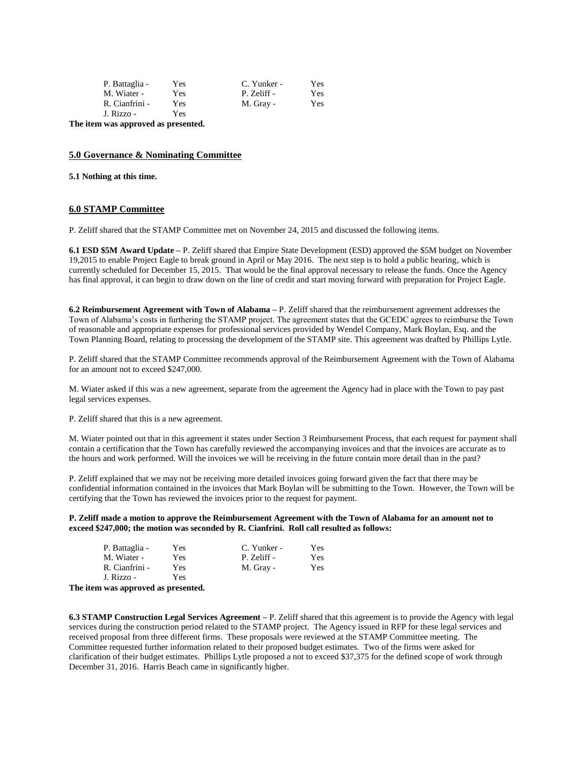| P. Battaglia - | Yes  | C. Yunker - | Yes |
|----------------|------|-------------|-----|
| M. Wiater -    | Yes. | P. Zeliff - | Yes |
| R. Cianfrini - | Yes  | M. Gray -   | Yes |
| J. Rizzo -     | Yes. |             |     |

**The item was approved as presented.**

## **5.0 Governance & Nominating Committee**

**5.1 Nothing at this time.**

## **6.0 STAMP Committee**

P. Zeliff shared that the STAMP Committee met on November 24, 2015 and discussed the following items.

**6.1 ESD \$5M Award Update –** P. Zeliff shared that Empire State Development (ESD) approved the \$5M budget on November 19,2015 to enable Project Eagle to break ground in April or May 2016. The next step is to hold a public hearing, which is currently scheduled for December 15, 2015. That would be the final approval necessary to release the funds. Once the Agency has final approval, it can begin to draw down on the line of credit and start moving forward with preparation for Project Eagle.

**6.2 Reimbursement Agreement with Town of Alabama –** P. Zeliff shared that the reimbursement agreement addresses the Town of Alabama's costs in furthering the STAMP project. The agreement states that the GCEDC agrees to reimburse the Town of reasonable and appropriate expenses for professional services provided by Wendel Company, Mark Boylan, Esq. and the Town Planning Board, relating to processing the development of the STAMP site. This agreement was drafted by Phillips Lytle.

P. Zeliff shared that the STAMP Committee recommends approval of the Reimbursement Agreement with the Town of Alabama for an amount not to exceed \$247,000.

M. Wiater asked if this was a new agreement, separate from the agreement the Agency had in place with the Town to pay past legal services expenses.

P. Zeliff shared that this is a new agreement.

M. Wiater pointed out that in this agreement it states under Section 3 Reimbursement Process, that each request for payment shall contain a certification that the Town has carefully reviewed the accompanying invoices and that the invoices are accurate as to the hours and work performed. Will the invoices we will be receiving in the future contain more detail than in the past?

P. Zeliff explained that we may not be receiving more detailed invoices going forward given the fact that there may be confidential information contained in the invoices that Mark Boylan will be submitting to the Town. However, the Town will be certifying that the Town has reviewed the invoices prior to the request for payment.

**P. Zeliff made a motion to approve the Reimbursement Agreement with the Town of Alabama for an amount not to exceed \$247,000; the motion was seconded by R. Cianfrini. Roll call resulted as follows:**

| P. Battaglia - | Yes  | C. Yunker - | Yes |
|----------------|------|-------------|-----|
| M. Wiater -    | Yes. | P. Zeliff - | Yes |
| R. Cianfrini - | Yes  | M. Gray -   | Yes |
| J. Rizzo -     | Yes  |             |     |

**The item was approved as presented.**

**6.3 STAMP Construction Legal Services Agreement –** P. Zeliff shared that this agreement is to provide the Agency with legal services during the construction period related to the STAMP project. The Agency issued in RFP for these legal services and received proposal from three different firms. These proposals were reviewed at the STAMP Committee meeting. The Committee requested further information related to their proposed budget estimates. Two of the firms were asked for clarification of their budget estimates. Phillips Lytle proposed a not to exceed \$37,375 for the defined scope of work through December 31, 2016. Harris Beach came in significantly higher.